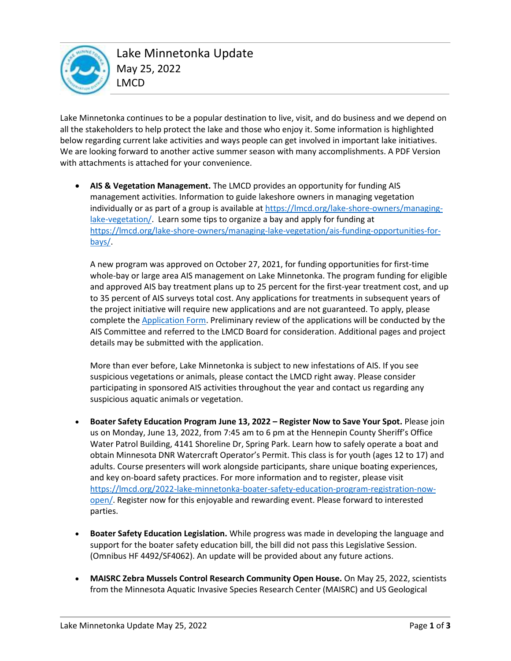

Lake Minnetonka continues to be a popular destination to live, visit, and do business and we depend on all the stakeholders to help protect the lake and those who enjoy it. Some information is highlighted below regarding current lake activities and ways people can get involved in important lake initiatives. We are looking forward to another active summer season with many accomplishments. A PDF Version with attachments is attached for your convenience.

• **AIS & Vegetation Management.** The LMCD provides an opportunity for funding AIS management activities. Information to guide lakeshore owners in managing vegetation individually or as part of a group is available at https://lmcd.org/lake-shore-owners/managinglake-vegetation/. Learn some tips to organize a bay and apply for funding at https://lmcd.org/lake-shore-owners/managing-lake-vegetation/ais-funding-opportunities-forbays/.

A new program was approved on October 27, 2021, for funding opportunities for first-time whole-bay or large area AIS management on Lake Minnetonka. The program funding for eligible and approved AIS bay treatment plans up to 25 percent for the first-year treatment cost, and up to 35 percent of AIS surveys total cost. Any applications for treatments in subsequent years of the project initiative will require new applications and are not guaranteed. To apply, please complete the **Application Form. Preliminary review of the applications will be conducted by the** AIS Committee and referred to the LMCD Board for consideration. Additional pages and project details may be submitted with the application.

More than ever before, Lake Minnetonka is subject to new infestations of AIS. If you see suspicious vegetations or animals, please contact the LMCD right away. Please consider participating in sponsored AIS activities throughout the year and contact us regarding any suspicious aquatic animals or vegetation.

- **Boater Safety Education Program June 13, 2022 – Register Now to Save Your Spot.** Please join us on Monday, June 13, 2022, from 7:45 am to 6 pm at the Hennepin County Sheriff's Office Water Patrol Building, 4141 Shoreline Dr, Spring Park. Learn how to safely operate a boat and obtain Minnesota DNR Watercraft Operator's Permit. This class is for youth (ages 12 to 17) and adults. Course presenters will work alongside participants, share unique boating experiences, and key on-board safety practices. For more information and to register, please visit https://lmcd.org/2022-lake-minnetonka-boater-safety-education-program-registration-nowopen/. Register now for this enjoyable and rewarding event. Please forward to interested parties.
- **Boater Safety Education Legislation.** While progress was made in developing the language and support for the boater safety education bill, the bill did not pass this Legislative Session. (Omnibus HF 4492/SF4062). An update will be provided about any future actions.
- **MAISRC Zebra Mussels Control Research Community Open House.** On May 25, 2022, scientists from the Minnesota Aquatic Invasive Species Research Center (MAISRC) and US Geological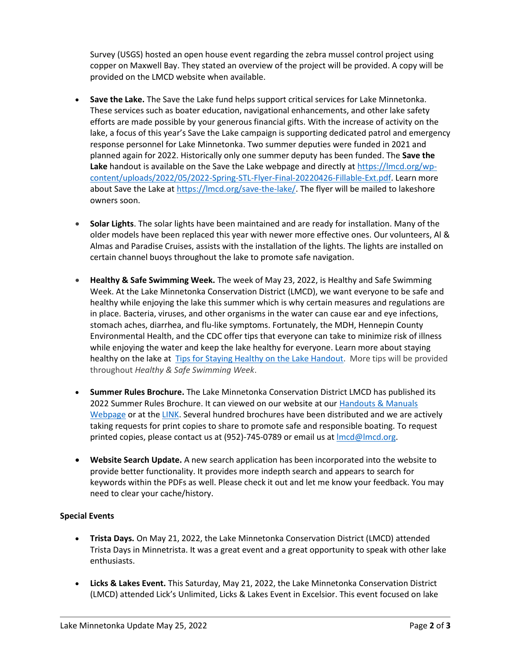Survey (USGS) hosted an open house event regarding the zebra mussel control project using copper on Maxwell Bay. They stated an overview of the project will be provided. A copy will be provided on the LMCD website when available.

- **Save the Lake.** The Save the Lake fund helps support critical services for Lake Minnetonka. These services such as boater education, navigational enhancements, and other lake safety efforts are made possible by your generous financial gifts. With the increase of activity on the lake, a focus of this year's Save the Lake campaign is supporting dedicated patrol and emergency response personnel for Lake Minnetonka. Two summer deputies were funded in 2021 and planned again for 2022. Historically only one summer deputy has been funded. The **Save the Lake** handout is available on the Save the Lake webpage and directly at [https://lmcd.org/wp](https://lmcd.org/wp-content/uploads/2022/05/2022-Spring-STL-Flyer-Final-20220426-Fillable-Ext.pdf)[content/uploads/2022/05/2022-Spring-STL-Flyer-Final-20220426-Fillable-Ext.pdf.](https://lmcd.org/wp-content/uploads/2022/05/2022-Spring-STL-Flyer-Final-20220426-Fillable-Ext.pdf) Learn more about Save the Lake at [https://lmcd.org/save-the-lake/.](https://lmcd.org/save-the-lake/) The flyer will be mailed to lakeshore owners soon.
- **Solar Lights**. The solar lights have been maintained and are ready for installation. Many of the older models have been replaced this year with newer more effective ones. Our volunteers, Al & Almas and Paradise Cruises, assists with the installation of the lights. The lights are installed on certain channel buoys throughout the lake to promote safe navigation.
- **Healthy & Safe Swimming Week.** The week of May 23, 2022, is Healthy and Safe Swimming Week. At the Lake Minnetonka Conservation District (LMCD), we want everyone to be safe and healthy while enjoying the lake this summer which is why certain measures and regulations are in place. Bacteria, viruses, and other organisms in the water can cause ear and eye infections, stomach aches, diarrhea, and flu-like symptoms. Fortunately, the MDH, Hennepin County Environmental Health, and the CDC offer tips that everyone can take to minimize risk of illness while enjoying the water and keep the lake healthy for everyone. Learn more about staying healthy on the lake at [Tips for Staying Healthy on the Lake Handout.](https://lmcd.org/wp-content/uploads/2021/07/20210703-Staying-Healthy-Lake-Handout.pdf) More tips will be provided throughout *Healthy & Safe Swimming Week*.
- **Summer Rules Brochure.** The Lake Minnetonka Conservation District LMCD has published its 2022 Summer Rules Brochure. It can viewed on our website at ou[r Handouts & Manuals](https://lmcd.org/resources/#handoutsmanuals)  [Webpage](https://lmcd.org/resources/#handoutsmanuals) or at the [LINK.](https://lmcd.org/wp-content/uploads/2022/05/Summer-Rules-2022-Final-05052022-NWP.pdf) Several hundred brochures have been distributed and we are actively taking requests for print copies to share to promote safe and responsible boating. To request printed copies, please contact us at (952)-745-0789 or email us at *Imcd@lmcd.org*.
- **Website Search Update.** A new search application has been incorporated into the website to provide better functionality. It provides more indepth search and appears to search for keywords within the PDFs as well. Please check it out and let me know your feedback. You may need to clear your cache/history.

### **Special Events**

- **Trista Days.** On May 21, 2022, the Lake Minnetonka Conservation District (LMCD) attended Trista Days in Minnetrista. It was a great event and a great opportunity to speak with other lake enthusiasts.
- **Licks & Lakes Event.** This Saturday, May 21, 2022, the Lake Minnetonka Conservation District (LMCD) attended Lick's Unlimited, Licks & Lakes Event in Excelsior. This event focused on lake